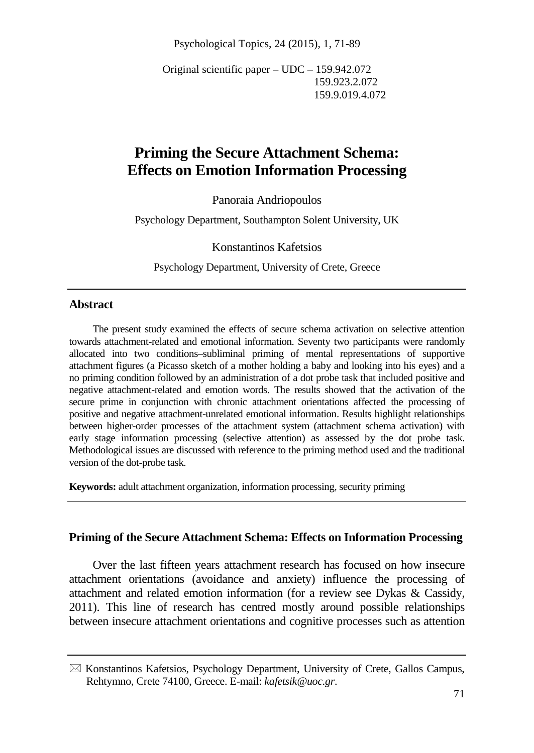Psychological Topics, 24 (2015), 1, 71-89

Original scientific paper – UDC – 159.942.072 159.923.2.072 159.9.019.4.072

# **Priming the Secure Attachment Schema: Effects on Emotion Information Processing**

Panoraia Andriopoulos

Psychology Department, Southampton Solent University, UK

Konstantinos Kafetsios

Psychology Department, University of Crete, Greece

#### **Abstract**

The present study examined the effects of secure schema activation on selective attention towards attachment-related and emotional information. Seventy two participants were randomly allocated into two conditions–subliminal priming of mental representations of supportive attachment figures (a Picasso sketch of a mother holding a baby and looking into his eyes) and a no priming condition followed by an administration of a dot probe task that included positive and negative attachment-related and emotion words. The results showed that the activation of the secure prime in conjunction with chronic attachment orientations affected the processing of positive and negative attachment-unrelated emotional information. Results highlight relationships between higher-order processes of the attachment system (attachment schema activation) with early stage information processing (selective attention) as assessed by the dot probe task. Methodological issues are discussed with reference to the priming method used and the traditional version of the dot-probe task.

**Keywords:** adult attachment organization, information processing, security priming

#### **Priming of the Secure Attachment Schema: Effects on Information Processing**

Over the last fifteen years attachment research has focused on how insecure attachment orientations (avoidance and anxiety) influence the processing of attachment and related emotion information (for a review see Dykas & Cassidy, 2011). This line of research has centred mostly around possible relationships between insecure attachment orientations and cognitive processes such as attention

 $\boxtimes$  Konstantinos Kafetsios, Psychology Department, University of Crete, Gallos Campus, Rehtymno, Crete 74100, Greece. E-mail: *kafetsik@uoc.gr*.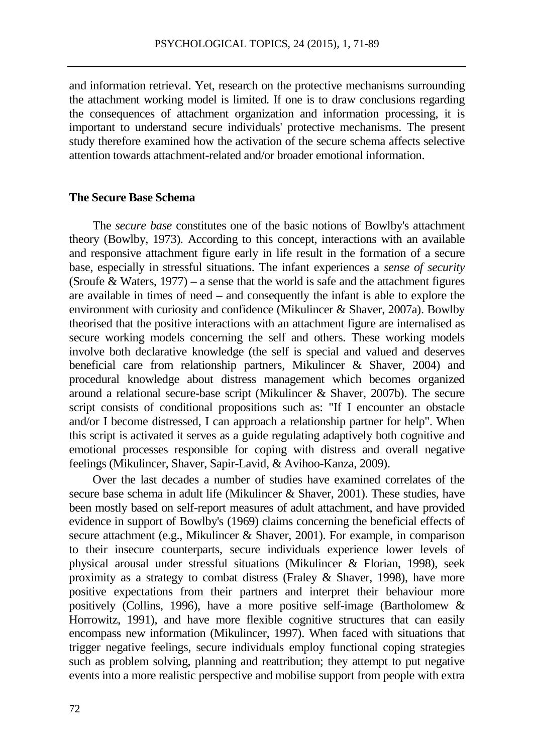and information retrieval. Yet, research on the protective mechanisms surrounding the attachment working model is limited. If one is to draw conclusions regarding the consequences of attachment organization and information processing, it is important to understand secure individuals' protective mechanisms. The present study therefore examined how the activation of the secure schema affects selective attention towards attachment-related and/or broader emotional information.

## **The Secure Base Schema**

The *secure base* constitutes one of the basic notions of Bowlby's attachment theory (Bowlby, 1973). According to this concept, interactions with an available and responsive attachment figure early in life result in the formation of a secure base, especially in stressful situations. The infant experiences a *sense of security* (Sroufe & Waters,  $1977$ ) – a sense that the world is safe and the attachment figures are available in times of need – and consequently the infant is able to explore the environment with curiosity and confidence (Mikulincer & Shaver, 2007a). Bowlby theorised that the positive interactions with an attachment figure are internalised as secure working models concerning the self and others. These working models involve both declarative knowledge (the self is special and valued and deserves beneficial care from relationship partners, Mikulincer & Shaver, 2004) and procedural knowledge about distress management which becomes organized around a relational secure-base script (Mikulincer & Shaver, 2007b). The secure script consists of conditional propositions such as: "If I encounter an obstacle and/or I become distressed, I can approach a relationship partner for help". When this script is activated it serves as a guide regulating adaptively both cognitive and emotional processes responsible for coping with distress and overall negative feelings (Mikulincer, Shaver, Sapir-Lavid, & Avihoo-Kanza, 2009).

Over the last decades a number of studies have examined correlates of the secure base schema in adult life (Mikulincer & Shaver, 2001). These studies, have been mostly based on self-report measures of adult attachment, and have provided evidence in support of Bowlby's (1969) claims concerning the beneficial effects of secure attachment (e.g., Mikulincer & Shaver, 2001). For example, in comparison to their insecure counterparts, secure individuals experience lower levels of physical arousal under stressful situations (Mikulincer & Florian, 1998), seek proximity as a strategy to combat distress (Fraley  $\&$  Shaver, 1998), have more positive expectations from their partners and interpret their behaviour more positively (Collins, 1996), have a more positive self-image (Bartholomew & Horrowitz, 1991), and have more flexible cognitive structures that can easily encompass new information (Mikulincer, 1997). When faced with situations that trigger negative feelings, secure individuals employ functional coping strategies such as problem solving, planning and reattribution; they attempt to put negative events into a more realistic perspective and mobilise support from people with extra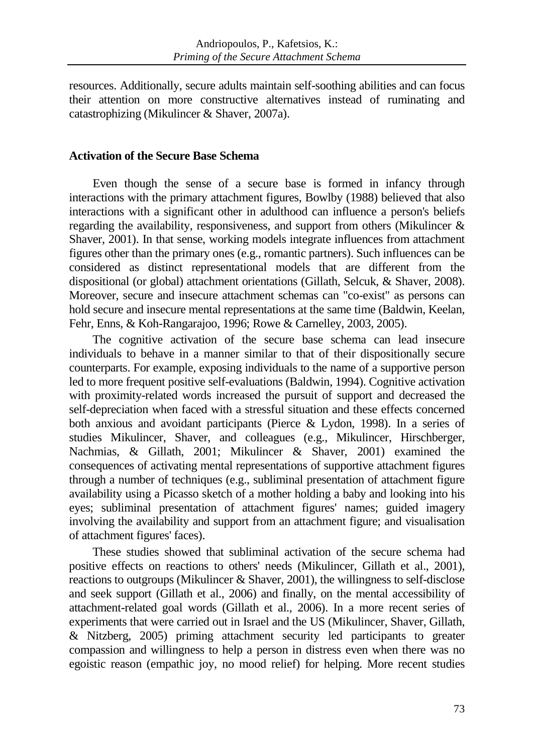resources. Additionally, secure adults maintain self-soothing abilities and can focus their attention on more constructive alternatives instead of ruminating and catastrophizing (Mikulincer & Shaver, 2007a).

## **Activation of the Secure Base Schema**

Even though the sense of a secure base is formed in infancy through interactions with the primary attachment figures, Bowlby (1988) believed that also interactions with a significant other in adulthood can influence a person's beliefs regarding the availability, responsiveness, and support from others (Mikulincer & Shaver, 2001). In that sense, working models integrate influences from attachment figures other than the primary ones (e.g., romantic partners). Such influences can be considered as distinct representational models that are different from the dispositional (or global) attachment orientations (Gillath, Selcuk, & Shaver, 2008). Moreover, secure and insecure attachment schemas can "co-exist" as persons can hold secure and insecure mental representations at the same time (Baldwin, Keelan, Fehr, Enns, & Koh-Rangarajoo, 1996; Rowe & Carnelley, 2003, 2005).

The cognitive activation of the secure base schema can lead insecure individuals to behave in a manner similar to that of their dispositionally secure counterparts. For example, exposing individuals to the name of a supportive person led to more frequent positive self-evaluations (Baldwin, 1994). Cognitive activation with proximity-related words increased the pursuit of support and decreased the self-depreciation when faced with a stressful situation and these effects concerned both anxious and avoidant participants (Pierce & Lydon, 1998). In a series of studies Mikulincer, Shaver, and colleagues (e.g., Mikulincer, Hirschberger, Nachmias, & Gillath, 2001; Mikulincer & Shaver, 2001) examined the consequences of activating mental representations of supportive attachment figures through a number of techniques (e.g., subliminal presentation of attachment figure availability using a Picasso sketch of a mother holding a baby and looking into his eyes; subliminal presentation of attachment figures' names; guided imagery involving the availability and support from an attachment figure; and visualisation of attachment figures' faces).

These studies showed that subliminal activation of the secure schema had positive effects on reactions to others' needs (Mikulincer, Gillath et al., 2001), reactions to outgroups (Mikulincer & Shaver, 2001), the willingness to self-disclose and seek support (Gillath et al., 2006) and finally, on the mental accessibility of attachment-related goal words (Gillath et al., 2006). In a more recent series of experiments that were carried out in Israel and the US (Mikulincer, Shaver, Gillath, & Nitzberg, 2005) priming attachment security led participants to greater compassion and willingness to help a person in distress even when there was no egoistic reason (empathic joy, no mood relief) for helping. More recent studies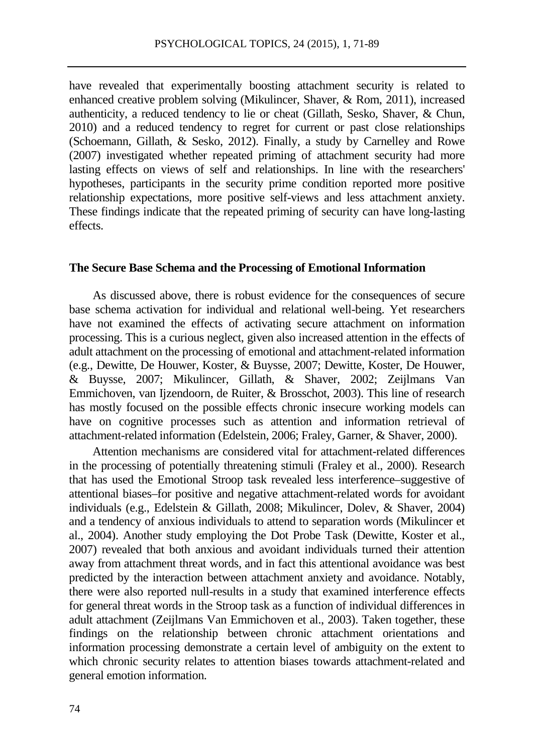have revealed that experimentally boosting attachment security is related to enhanced creative problem solving (Mikulincer, Shaver, & Rom, 2011), increased authenticity, a reduced tendency to lie or cheat (Gillath, Sesko, Shaver, & Chun, 2010) and a reduced tendency to regret for current or past close relationships (Schoemann, Gillath, & Sesko, 2012). Finally, a study by Carnelley and Rowe (2007) investigated whether repeated priming of attachment security had more lasting effects on views of self and relationships. In line with the researchers' hypotheses, participants in the security prime condition reported more positive relationship expectations, more positive self-views and less attachment anxiety. These findings indicate that the repeated priming of security can have long-lasting effects.

#### **The Secure Base Schema and the Processing of Emotional Information**

As discussed above, there is robust evidence for the consequences of secure base schema activation for individual and relational well-being. Yet researchers have not examined the effects of activating secure attachment on information processing. This is a curious neglect, given also increased attention in the effects of adult attachment on the processing of emotional and attachment-related information (e.g., Dewitte, De Houwer, Koster, & Buysse, 2007; Dewitte, Koster, De Houwer, & Buysse, 2007; Mikulincer, Gillath, & Shaver, 2002; Zeijlmans Van Emmichoven, van Ijzendoorn, de Ruiter, & Brosschot, 2003). This line of research has mostly focused on the possible effects chronic insecure working models can have on cognitive processes such as attention and information retrieval of attachment-related information (Edelstein, 2006; Fraley, Garner, & Shaver, 2000).

Attention mechanisms are considered vital for attachment-related differences in the processing of potentially threatening stimuli (Fraley et al., 2000). Research that has used the Emotional Stroop task revealed less interference–suggestive of attentional biases–for positive and negative attachment-related words for avoidant individuals (e.g., Edelstein & Gillath, 2008; Mikulincer, Dolev, & Shaver, 2004) and a tendency of anxious individuals to attend to separation words (Mikulincer et al., 2004). Another study employing the Dot Probe Task (Dewitte, Koster et al., 2007) revealed that both anxious and avoidant individuals turned their attention away from attachment threat words, and in fact this attentional avoidance was best predicted by the interaction between attachment anxiety and avoidance. Notably, there were also reported null-results in a study that examined interference effects for general threat words in the Stroop task as a function of individual differences in adult attachment (Zeijlmans Van Emmichoven et al., 2003). Taken together, these findings on the relationship between chronic attachment orientations and information processing demonstrate a certain level of ambiguity on the extent to which chronic security relates to attention biases towards attachment-related and general emotion information.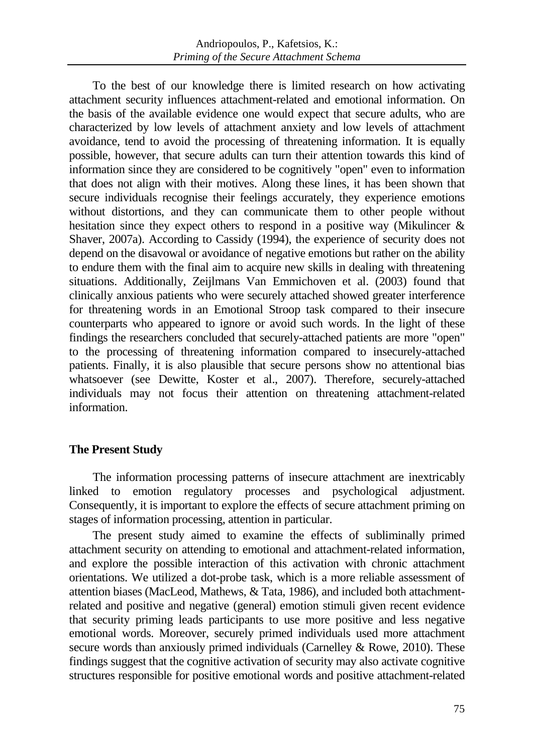To the best of our knowledge there is limited research on how activating attachment security influences attachment-related and emotional information. On the basis of the available evidence one would expect that secure adults, who are characterized by low levels of attachment anxiety and low levels of attachment avoidance, tend to avoid the processing of threatening information. It is equally possible, however, that secure adults can turn their attention towards this kind of information since they are considered to be cognitively "open" even to information that does not align with their motives. Along these lines, it has been shown that secure individuals recognise their feelings accurately, they experience emotions without distortions, and they can communicate them to other people without hesitation since they expect others to respond in a positive way (Mikulincer & Shaver, 2007a). According to Cassidy (1994), the experience of security does not depend on the disavowal or avoidance of negative emotions but rather on the ability to endure them with the final aim to acquire new skills in dealing with threatening situations. Additionally, Zeijlmans Van Emmichoven et al. (2003) found that clinically anxious patients who were securely attached showed greater interference for threatening words in an Emotional Stroop task compared to their insecure counterparts who appeared to ignore or avoid such words. In the light of these findings the researchers concluded that securely-attached patients are more "open" to the processing of threatening information compared to insecurely-attached patients. Finally, it is also plausible that secure persons show no attentional bias whatsoever (see Dewitte, Koster et al., 2007). Therefore, securely-attached individuals may not focus their attention on threatening attachment-related information.

## **The Present Study**

The information processing patterns of insecure attachment are inextricably linked to emotion regulatory processes and psychological adjustment. Consequently, it is important to explore the effects of secure attachment priming on stages of information processing, attention in particular.

The present study aimed to examine the effects of subliminally primed attachment security on attending to emotional and attachment-related information, and explore the possible interaction of this activation with chronic attachment orientations. We utilized a dot-probe task, which is a more reliable assessment of attention biases (MacLeod, Mathews, & Tata, 1986), and included both attachmentrelated and positive and negative (general) emotion stimuli given recent evidence that security priming leads participants to use more positive and less negative emotional words. Moreover, securely primed individuals used more attachment secure words than anxiously primed individuals (Carnelley & Rowe, 2010). These findings suggest that the cognitive activation of security may also activate cognitive structures responsible for positive emotional words and positive attachment-related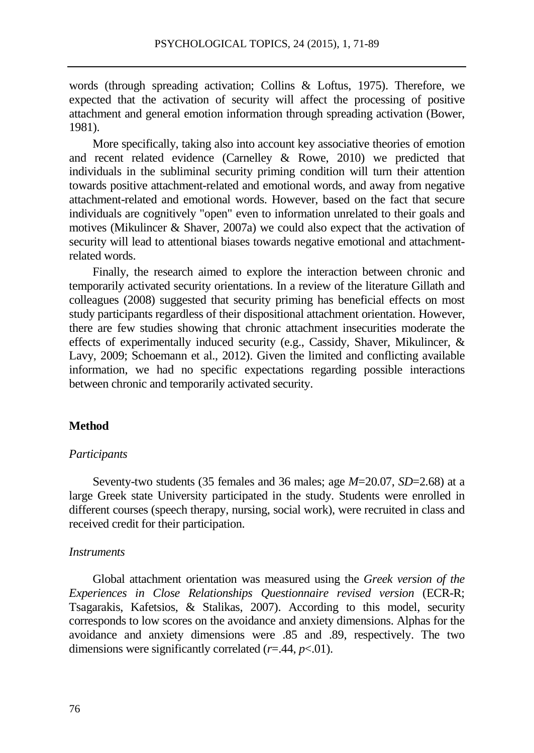words (through spreading activation; Collins & Loftus, 1975). Therefore, we expected that the activation of security will affect the processing of positive attachment and general emotion information through spreading activation (Bower, 1981).

More specifically, taking also into account key associative theories of emotion and recent related evidence (Carnelley & Rowe, 2010) we predicted that individuals in the subliminal security priming condition will turn their attention towards positive attachment-related and emotional words, and away from negative attachment-related and emotional words. However, based on the fact that secure individuals are cognitively "open" even to information unrelated to their goals and motives (Mikulincer & Shaver, 2007a) we could also expect that the activation of security will lead to attentional biases towards negative emotional and attachmentrelated words.

Finally, the research aimed to explore the interaction between chronic and temporarily activated security orientations. In a review of the literature Gillath and colleagues (2008) suggested that security priming has beneficial effects on most study participants regardless of their dispositional attachment orientation. However, there are few studies showing that chronic attachment insecurities moderate the effects of experimentally induced security (e.g., Cassidy, Shaver, Mikulincer, & Lavy, 2009; Schoemann et al., 2012). Given the limited and conflicting available information, we had no specific expectations regarding possible interactions between chronic and temporarily activated security.

## **Method**

#### *Participants*

Seventy-two students (35 females and 36 males; age *M*=20.07, *SD*=2.68) at a large Greek state University participated in the study. Students were enrolled in different courses (speech therapy, nursing, social work), were recruited in class and received credit for their participation.

#### *Instruments*

Global attachment orientation was measured using the *Greek version of the Experiences in Close Relationships Questionnaire revised version* (ECR-R; Tsagarakis, Kafetsios, & Stalikas, 2007). According to this model, security corresponds to low scores on the avoidance and anxiety dimensions. Alphas for the avoidance and anxiety dimensions were .85 and .89, respectively. The two dimensions were significantly correlated  $(r=0.44, p<0.01)$ .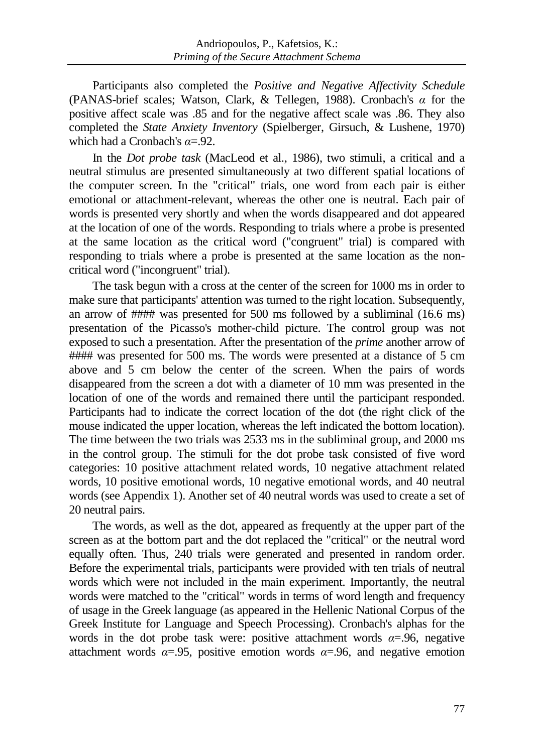Participants also completed the *Positive and Negative Affectivity Schedule* (PANAS-brief scales; Watson, Clark, & Tellegen, 1988). Cronbach's *α* for the positive affect scale was .85 and for the negative affect scale was .86. They also completed the *State Anxiety Inventory* (Spielberger, Girsuch, & Lushene, 1970) which had a Cronbach's *α*=.92.

In the *Dot probe task* (MacLeod et al., 1986), two stimuli, a critical and a neutral stimulus are presented simultaneously at two different spatial locations of the computer screen. In the "critical" trials, one word from each pair is either emotional or attachment-relevant, whereas the other one is neutral. Each pair of words is presented very shortly and when the words disappeared and dot appeared at the location of one of the words. Responding to trials where a probe is presented at the same location as the critical word ("congruent" trial) is compared with responding to trials where a probe is presented at the same location as the noncritical word ("incongruent" trial).

The task begun with a cross at the center of the screen for 1000 ms in order to make sure that participants' attention was turned to the right location. Subsequently, an arrow of #### was presented for 500 ms followed by a subliminal (16.6 ms) presentation of the Picasso's mother-child picture. The control group was not exposed to such a presentation. After the presentation of the *prime* another arrow of ##### was presented for 500 ms. The words were presented at a distance of 5 cm above and 5 cm below the center of the screen. When the pairs of words disappeared from the screen a dot with a diameter of 10 mm was presented in the location of one of the words and remained there until the participant responded. Participants had to indicate the correct location of the dot (the right click of the mouse indicated the upper location, whereas the left indicated the bottom location). The time between the two trials was 2533 ms in the subliminal group, and 2000 ms in the control group. The stimuli for the dot probe task consisted of five word categories: 10 positive attachment related words, 10 negative attachment related words, 10 positive emotional words, 10 negative emotional words, and 40 neutral words (see Appendix 1). Another set of 40 neutral words was used to create a set of 20 neutral pairs.

The words, as well as the dot, appeared as frequently at the upper part of the screen as at the bottom part and the dot replaced the "critical" or the neutral word equally often. Thus, 240 trials were generated and presented in random order. Before the experimental trials, participants were provided with ten trials of neutral words which were not included in the main experiment. Importantly, the neutral words were matched to the "critical" words in terms of word length and frequency of usage in the Greek language (as appeared in the Hellenic National Corpus of the Greek Institute for Language and Speech Processing). Cronbach's alphas for the words in the dot probe task were: positive attachment words  $\alpha = .96$ , negative attachment words  $\alpha = 0.95$ , positive emotion words  $\alpha = 0.96$ , and negative emotion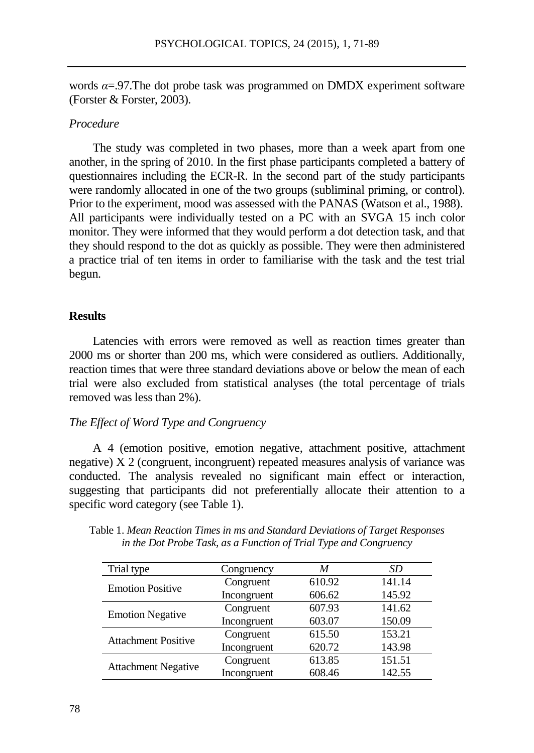words  $\alpha = 97$ . The dot probe task was programmed on DMDX experiment software (Forster & Forster, 2003).

## *Procedure*

The study was completed in two phases, more than a week apart from one another, in the spring of 2010. In the first phase participants completed a battery of questionnaires including the ECR-R. In the second part of the study participants were randomly allocated in one of the two groups (subliminal priming, or control). Prior to the experiment, mood was assessed with the PANAS (Watson et al., 1988). All participants were individually tested on a PC with an SVGA 15 inch color monitor. They were informed that they would perform a dot detection task, and that they should respond to the dot as quickly as possible. They were then administered a practice trial of ten items in order to familiarise with the task and the test trial begun.

#### **Results**

Latencies with errors were removed as well as reaction times greater than 2000 ms or shorter than 200 ms, which were considered as outliers. Additionally, reaction times that were three standard deviations above or below the mean of each trial were also excluded from statistical analyses (the total percentage of trials removed was less than 2%).

## *The Effect of Word Type and Congruency*

A 4 (emotion positive, emotion negative, attachment positive, attachment negative) X 2 (congruent, incongruent) repeated measures analysis of variance was conducted. The analysis revealed no significant main effect or interaction, suggesting that participants did not preferentially allocate their attention to a specific word category (see Table 1).

| Trial type                 | Congruency  | M      | SD     |
|----------------------------|-------------|--------|--------|
| <b>Emotion Positive</b>    | Congruent   | 610.92 | 141.14 |
|                            | Incongruent | 606.62 | 145.92 |
| <b>Emotion Negative</b>    | Congruent   | 607.93 | 141.62 |
|                            | Incongruent | 603.07 | 150.09 |
| <b>Attachment Positive</b> | Congruent   | 615.50 | 153.21 |
|                            | Incongruent | 620.72 | 143.98 |
| <b>Attachment Negative</b> | Congruent   | 613.85 | 151.51 |
|                            | Incongruent | 608.46 | 142.55 |

Table 1. *Mean Reaction Times in ms and Standard Deviations of Target Responses in the Dot Probe Task, as a Function of Trial Type and Congruency*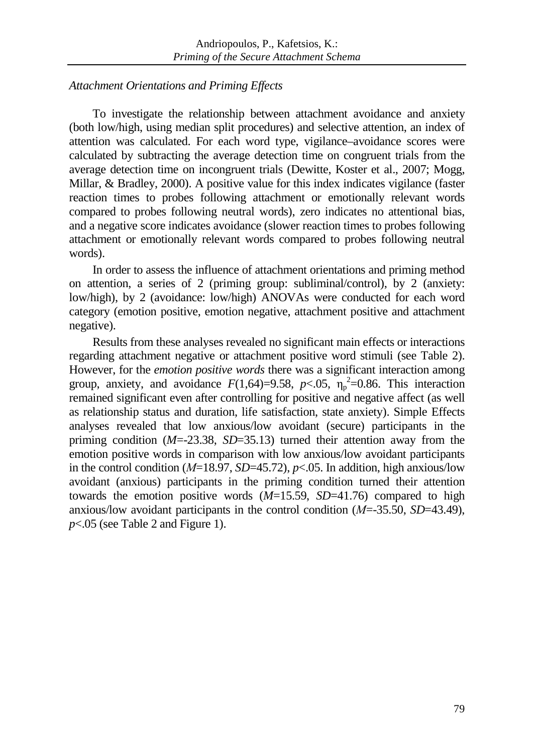## *Attachment Orientations and Priming Effects*

To investigate the relationship between attachment avoidance and anxiety (both low/high, using median split procedures) and selective attention, an index of attention was calculated. For each word type, vigilance–avoidance scores were calculated by subtracting the average detection time on congruent trials from the average detection time on incongruent trials (Dewitte, Koster et al., 2007; Mogg, Millar, & Bradley, 2000). A positive value for this index indicates vigilance (faster reaction times to probes following attachment or emotionally relevant words compared to probes following neutral words), zero indicates no attentional bias, and a negative score indicates avoidance (slower reaction times to probes following attachment or emotionally relevant words compared to probes following neutral words).

In order to assess the influence of attachment orientations and priming method on attention, a series of 2 (priming group: subliminal/control), by 2 (anxiety: low/high), by 2 (avoidance: low/high) ANOVAs were conducted for each word category (emotion positive, emotion negative, attachment positive and attachment negative).

Results from these analyses revealed no significant main effects or interactions regarding attachment negative or attachment positive word stimuli (see Table 2). However, for the *emotion positive words* there was a significant interaction among group, anxiety, and avoidance  $F(1,64)=9.58$ ,  $p<.05$ ,  $\eta_p^2=0.86$ . This interaction remained significant even after controlling for positive and negative affect (as well as relationship status and duration, life satisfaction, state anxiety). Simple Effects analyses revealed that low anxious/low avoidant (secure) participants in the priming condition (*M*=-23.38, *SD*=35.13) turned their attention away from the emotion positive words in comparison with low anxious/low avoidant participants in the control condition (*Μ*=18.97, *SD*=45.72), *p*<.05. In addition, high anxious/low avoidant (anxious) participants in the priming condition turned their attention towards the emotion positive words (*M*=15.59, *SD*=41.76) compared to high anxious/low avoidant participants in the control condition (*Μ*=-35.50, *SD*=43.49), *p*<.05 (see Table 2 and Figure 1).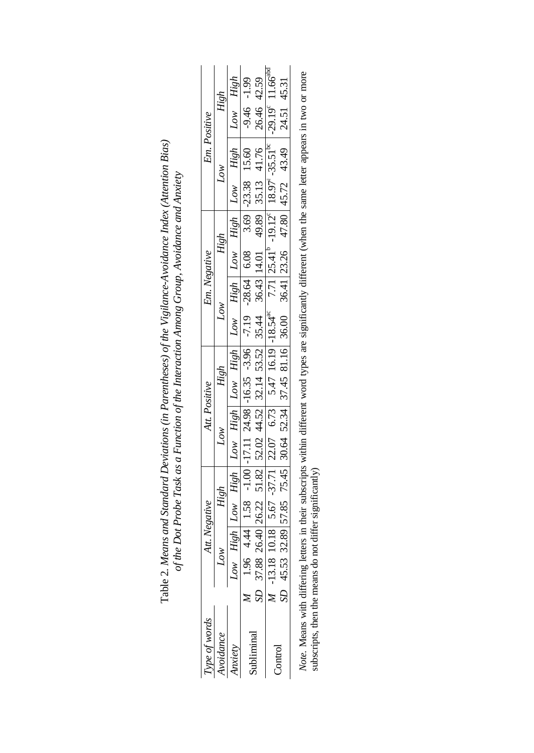| $\frac{26.40}{10.18} \begin{bmatrix} 26.22 & 51.82 \\ 5.67 & -37.71 \end{bmatrix} \frac{52.02}{22.07} \frac{44.52}{6.73} \begin{bmatrix} 32.14 & 53.52 \\ 5.47 & 16.19 \end{bmatrix} \begin{bmatrix} 35.44 & 36.43 \\ 14.01 & 49.89 \\ 7.71 \end{bmatrix} \begin{bmatrix} 35.13 & 41.76 \\ 18.97^\circ \end{bmatrix} \begin{bmatrix} 25.1^\circ \\ -29.19^\$<br>High Low High Low High Low High Low High Low High   Low High   Low High  <br>26.40 26.22 51.82 52.02 44.52 32.14 53.52 35.44 36.43 14.01<br>4.44 1.58 -1.00 -17.11 24.98 -16.35 -3.96<br>High<br>Att. Positive<br>Άση | High<br>Att. Negative                                                         |
|---------------------------------------------------------------------------------------------------------------------------------------------------------------------------------------------------------------------------------------------------------------------------------------------------------------------------------------------------------------------------------------------------------------------------------------------------------------------------------------------------------------------------------------------------------------------------------------|-------------------------------------------------------------------------------|
|                                                                                                                                                                                                                                                                                                                                                                                                                                                                                                                                                                                       | 32.89 57.85 75.45 30.64 52.34 37.45 81.16 36.00 36.41 23.26 47.80 45.72 43.49 |

Table 2. Means and Standard Deviations (in Parentheses) of the Vigilance-Avoidance Index (Attention Bias) Table 2. *Means and Standard Deviations (in Parentheses) of the Vigilance-Avoidance Index (Attention Bias)*  of the Dot Probe Task as a Function of the Interaction Among Group, Avoidance and Anxiety *of the Dot Probe Task as a Function of the Interaction Among Group, Avoidance and Anxiety* Note. Means with differing letters in their subscripts within different word types are significantly different (when the same letter appears in two or more subscripts, then the means do not differ significantly) *Note*. Means with differing letters in their subscripts within different word types are significantly different (when the same letter appears in two or more subscripts, then the means do not differ significantly)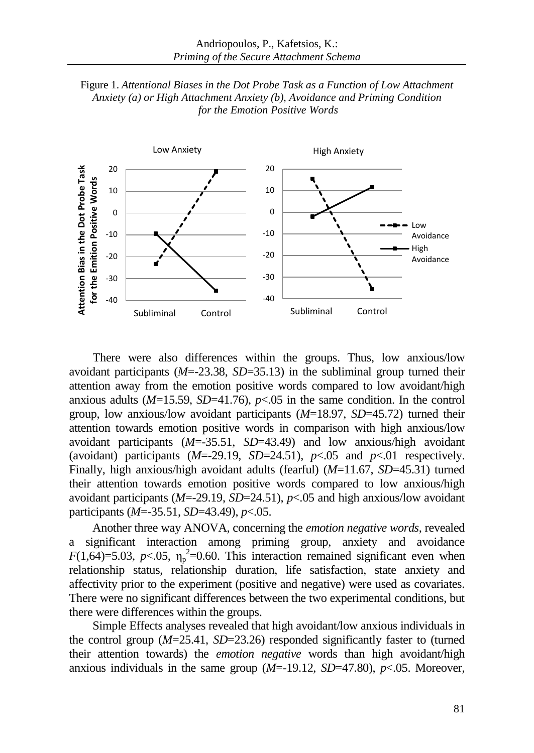



There were also differences within the groups. Thus, low anxious/low avoidant participants (*M*=-23.38, *SD*=35.13) in the subliminal group turned their attention away from the emotion positive words compared to low avoidant/high anxious adults  $(M=15.59, SD=41.76)$ ,  $p<.05$  in the same condition. In the control group, low anxious/low avoidant participants (*M*=18.97, *SD*=45.72) turned their attention towards emotion positive words in comparison with high anxious/low avoidant participants (*M*=-35.51, *SD*=43.49) and low anxious/high avoidant (avoidant) participants  $(M=-29.19, SD=24.51)$ ,  $p<.05$  and  $p<.01$  respectively. Finally, high anxious/high avoidant adults (fearful) (*M*=11.67, *SD*=45.31) turned their attention towards emotion positive words compared to low anxious/high avoidant participants (*M*=-29.19, *SD*=24.51), *p*<.05 and high anxious/low avoidant participants (*M*=-35.51, *SD*=43.49), *p*<.05.

Another three way ANOVA, concerning the *emotion negative words*, revealed a significant interaction among priming group, anxiety and avoidance  $F(1,64)=5.03$ ,  $p<.05$ ,  $\eta_p^2=0.60$ . This interaction remained significant even when relationship status, relationship duration, life satisfaction, state anxiety and affectivity prior to the experiment (positive and negative) were used as covariates. There were no significant differences between the two experimental conditions, but there were differences within the groups.

Simple Effects analyses revealed that high avoidant/low anxious individuals in the control group (*M*=25.41, *SD*=23.26) responded significantly faster to (turned their attention towards) the *emotion negative* words than high avoidant/high anxious individuals in the same group  $(M=-19.12, SD=47.80)$ ,  $p<.05$ . Moreover,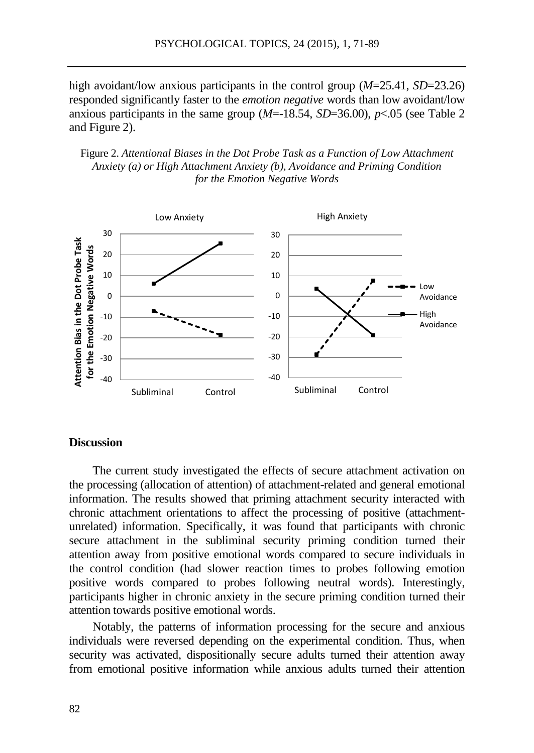high avoidant/low anxious participants in the control group (*M*=25.41, *SD*=23.26) responded significantly faster to the *emotion negative* words than low avoidant/low anxious participants in the same group  $(M=18.54, SD=36.00)$ ,  $p<.05$  (see Table 2) and Figure 2).

Figure 2. *Attentional Biases in the Dot Probe Task as a Function of Low Attachment Anxiety (a) or High Attachment Anxiety (b), Avoidance and Priming Condition for the Emotion Negative Words*



#### **Discussion**

The current study investigated the effects of secure attachment activation on the processing (allocation of attention) of attachment-related and general emotional information. The results showed that priming attachment security interacted with chronic attachment orientations to affect the processing of positive (attachmentunrelated) information. Specifically, it was found that participants with chronic secure attachment in the subliminal security priming condition turned their attention away from positive emotional words compared to secure individuals in the control condition (had slower reaction times to probes following emotion positive words compared to probes following neutral words). Interestingly, participants higher in chronic anxiety in the secure priming condition turned their attention towards positive emotional words.

Notably, the patterns of information processing for the secure and anxious individuals were reversed depending on the experimental condition. Thus, when security was activated, dispositionally secure adults turned their attention away from emotional positive information while anxious adults turned their attention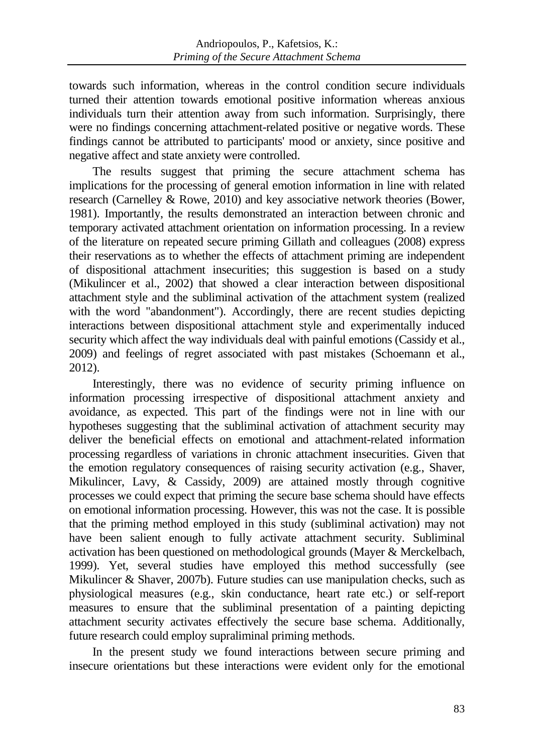towards such information, whereas in the control condition secure individuals turned their attention towards emotional positive information whereas anxious individuals turn their attention away from such information. Surprisingly, there were no findings concerning attachment-related positive or negative words. These findings cannot be attributed to participants' mood or anxiety, since positive and negative affect and state anxiety were controlled.

The results suggest that priming the secure attachment schema has implications for the processing of general emotion information in line with related research (Carnelley & Rowe, 2010) and key associative network theories (Bower, 1981). Importantly, the results demonstrated an interaction between chronic and temporary activated attachment orientation on information processing. In a review of the literature on repeated secure priming Gillath and colleagues (2008) express their reservations as to whether the effects of attachment priming are independent of dispositional attachment insecurities; this suggestion is based on a study (Mikulincer et al., 2002) that showed a clear interaction between dispositional attachment style and the subliminal activation of the attachment system (realized with the word "abandonment"). Accordingly, there are recent studies depicting interactions between dispositional attachment style and experimentally induced security which affect the way individuals deal with painful emotions (Cassidy et al., 2009) and feelings of regret associated with past mistakes (Schoemann et al., 2012).

Interestingly, there was no evidence of security priming influence on information processing irrespective of dispositional attachment anxiety and avoidance, as expected. This part of the findings were not in line with our hypotheses suggesting that the subliminal activation of attachment security may deliver the beneficial effects on emotional and attachment-related information processing regardless of variations in chronic attachment insecurities. Given that the emotion regulatory consequences of raising security activation (e.g., Shaver, Mikulincer, Lavy, & Cassidy, 2009) are attained mostly through cognitive processes we could expect that priming the secure base schema should have effects on emotional information processing. However, this was not the case. It is possible that the priming method employed in this study (subliminal activation) may not have been salient enough to fully activate attachment security. Subliminal activation has been questioned on methodological grounds (Mayer & Merckelbach, 1999). Yet, several studies have employed this method successfully (see Mikulincer & Shaver, 2007b). Future studies can use manipulation checks, such as physiological measures (e.g., skin conductance, heart rate etc.) or self-report measures to ensure that the subliminal presentation of a painting depicting attachment security activates effectively the secure base schema. Additionally, future research could employ supraliminal priming methods.

In the present study we found interactions between secure priming and insecure orientations but these interactions were evident only for the emotional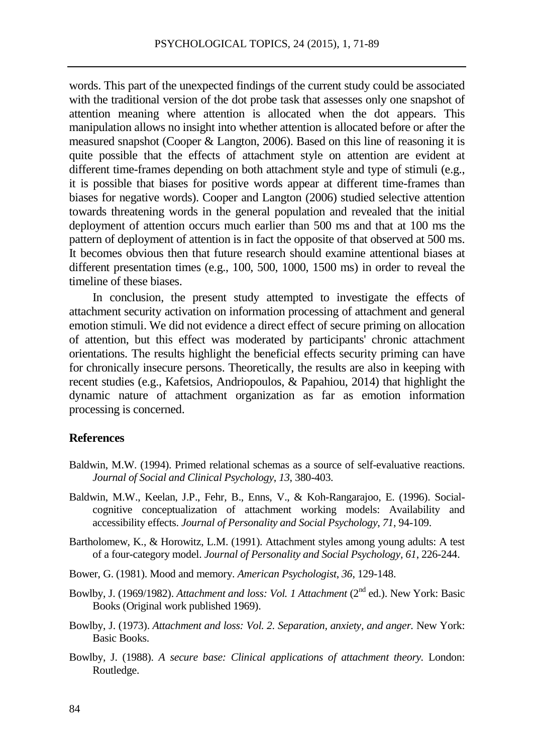words. This part of the unexpected findings of the current study could be associated with the traditional version of the dot probe task that assesses only one snapshot of attention meaning where attention is allocated when the dot appears. This manipulation allows no insight into whether attention is allocated before or after the measured snapshot (Cooper & Langton, 2006). Based on this line of reasoning it is quite possible that the effects of attachment style on attention are evident at different time-frames depending on both attachment style and type of stimuli (e.g., it is possible that biases for positive words appear at different time-frames than biases for negative words). Cooper and Langton (2006) studied selective attention towards threatening words in the general population and revealed that the initial deployment of attention occurs much earlier than 500 ms and that at 100 ms the pattern of deployment of attention is in fact the opposite of that observed at 500 ms. It becomes obvious then that future research should examine attentional biases at different presentation times (e.g., 100, 500, 1000, 1500 ms) in order to reveal the timeline of these biases.

In conclusion, the present study attempted to investigate the effects of attachment security activation on information processing of attachment and general emotion stimuli. We did not evidence a direct effect of secure priming on allocation of attention, but this effect was moderated by participants' chronic attachment orientations. The results highlight the beneficial effects security priming can have for chronically insecure persons. Theoretically, the results are also in keeping with recent studies (e.g., Kafetsios, Andriopoulos, & Papahiou, 2014) that highlight the dynamic nature of attachment organization as far as emotion information processing is concerned.

## **References**

- Baldwin, M.W. (1994). Primed relational schemas as a source of self-evaluative reactions. *Journal of Social and Clinical Psychology*, *13*, 380-403.
- Baldwin, M.W., Keelan, J.P., Fehr, B., Enns, V., & Koh-Rangarajoo, E. (1996). Socialcognitive conceptualization of attachment working models: Availability and accessibility effects. *Journal of Personality and Social Psychology*, *71*, 94-109.
- Bartholomew, K., & Horowitz, L.M. (1991). Attachment styles among young adults: A test of a four-category model. *Journal of Personality and Social Psychology, 61*, 226-244.
- Bower, G. (1981). Mood and memory. *American Psychologist*, *36*, 129-148.
- Bowlby, J. (1969/1982). *Attachment and loss: Vol. 1 Attachment* (2nd ed.). New York: Basic Books (Original work published 1969).
- Bowlby, J. (1973). *Attachment and loss: Vol. 2. Separation, anxiety, and anger. New York:* Basic Books.
- Bowlby, J. (1988). *A secure base: Clinical applications of attachment theory.* London: Routledge.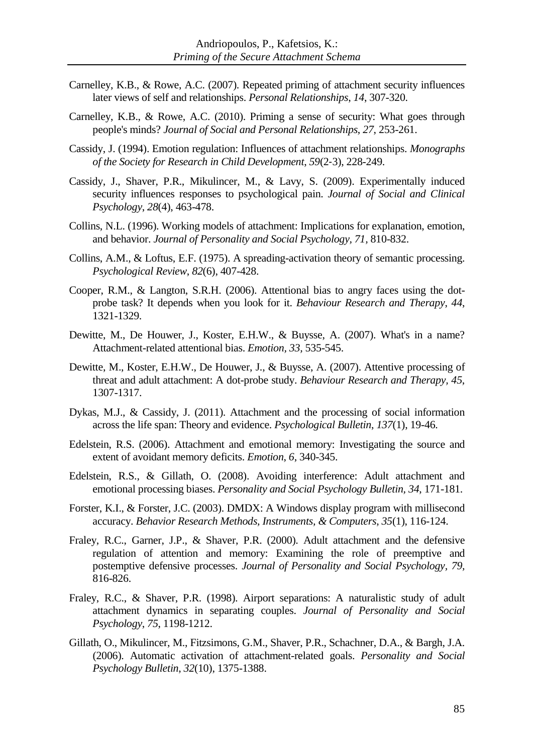- Carnelley, K.B., & Rowe, A.C. (2007). Repeated priming of attachment security influences later views of self and relationships. *Personal Relationships*, *14*, 307-320.
- Carnelley, K.B., & Rowe, A.C. (2010). Priming a sense of security: What goes through people's minds? *Journal of Social and Personal Relationships*, *27*, 253-261.
- Cassidy, J. (1994). Emotion regulation: Influences of attachment relationships. *Monographs of the Society for Research in Child Development*, *59*(2‐3), 228-249.
- Cassidy, J., Shaver, P.R., Mikulincer, M., & Lavy, S. (2009). Experimentally induced security influences responses to psychological pain. *Journal of Social and Clinical Psychology*, *28*(4), 463-478.
- Collins, N.L. (1996). Working models of attachment: Implications for explanation, emotion, and behavior. *Journal of Personality and Social Psychology, 71,* 810-832.
- Collins, A.M., & Loftus, E.F. (1975). A spreading-activation theory of semantic processing. *Psychological Review*, *82*(6), 407-428.
- Cooper, R.M., & Langton, S.R.H. (2006). Attentional bias to angry faces using the dotprobe task? It depends when you look for it. *Behaviour Research and Therapy*, *44*, 1321-1329.
- Dewitte, M., De Houwer, J., Koster, E.H.W., & Buysse, A. (2007). What's in a name? Attachment-related attentional bias. *Emotion, 33,* 535-545.
- Dewitte, M., Koster, E.H.W., De Houwer, J., & Buysse, A. (2007). Attentive processing of threat and adult attachment: A dot-probe study. *Behaviour Research and Therapy, 45*, 1307-1317.
- Dykas, M.J., & Cassidy, J. (2011). Attachment and the processing of social information across the life span: Theory and evidence. *Psychological Bulletin*, *137*(1), 19-46.
- Edelstein, R.S. (2006). Attachment and emotional memory: Investigating the source and extent of avoidant memory deficits. *Emotion*, *6*, 340-345.
- Edelstein, R.S., & Gillath, O. (2008). Avoiding interference: Adult attachment and emotional processing biases. *Personality and Social Psychology Bulletin, 34*, 171-181.
- Forster, K.I., & Forster, J.C. (2003). DMDX: A Windows display program with millisecond accuracy. *Behavior Research Methods, Instruments, & Computers*, *35*(1), 116-124.
- Fraley, R.C., Garner, J.P., & Shaver, P.R. (2000). Adult attachment and the defensive regulation of attention and memory: Examining the role of preemptive and postemptive defensive processes. *Journal of Personality and Social Psychology, 79,* 816-826.
- Fraley, R.C., & Shaver, P.R. (1998). Airport separations: A naturalistic study of adult attachment dynamics in separating couples. *Journal of Personality and Social Psychology*, *75*, 1198-1212.
- Gillath, O., Mikulincer, M., Fitzsimons, G.M., Shaver, P.R., Schachner, D.A., & Bargh, J.A. (2006). Automatic activation of attachment-related goals. *Personality and Social Psychology Bulletin*, *32*(10), 1375-1388.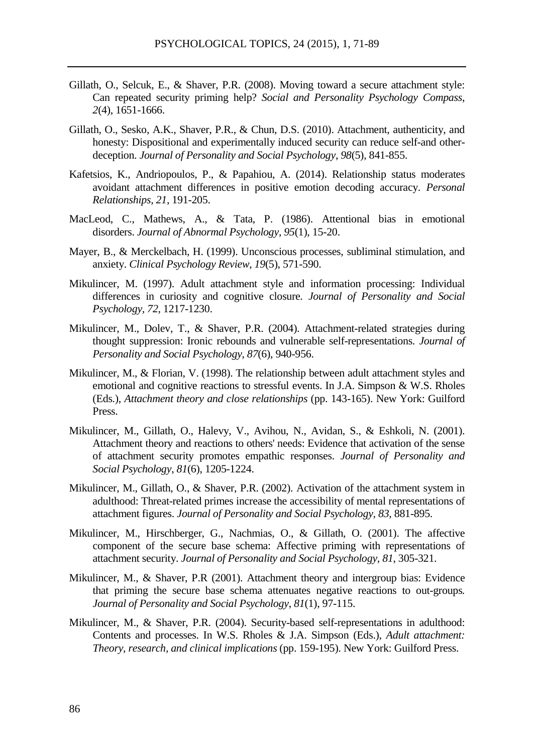- Gillath, O., Selcuk, E., & Shaver, P.R. (2008). Moving toward a secure attachment style: Can repeated security priming help? *Social and Personality Psychology Compass*, *2*(4), 1651-1666.
- Gillath, O., Sesko, A.K., Shaver, P.R., & Chun, D.S. (2010). Attachment, authenticity, and honesty: Dispositional and experimentally induced security can reduce self-and otherdeception. *Journal of Personality and Social Psychology*, *98*(5), 841-855.
- Kafetsios, K., Andriopoulos, P., & Papahiou, A. (2014). Relationship status moderates avoidant attachment differences in positive emotion decoding accuracy. *Personal Relationships, 21,* 191-205.
- MacLeod, C., Mathews, A., & Tata, P. (1986). Attentional bias in emotional disorders. *Journal of Abnormal Psychology*, *95*(1), 15-20.
- Mayer, B., & Merckelbach, H. (1999). Unconscious processes, subliminal stimulation, and anxiety. *Clinical Psychology Review*, *19*(5), 571-590.
- Mikulincer, M. (1997). Adult attachment style and information processing: Individual differences in curiosity and cognitive closure. *Journal of Personality and Social Psychology, 72*, 1217-1230.
- Mikulincer, M., Dolev, T., & Shaver, P.R. (2004). Attachment-related strategies during thought suppression: Ironic rebounds and vulnerable self-representations. *Journal of Personality and Social Psychology*, *87*(6), 940-956.
- Mikulincer, M., & Florian, V. (1998). The relationship between adult attachment styles and emotional and cognitive reactions to stressful events. In J.A. Simpson & W.S. Rholes (Eds.), *Attachment theory and close relationships* (pp. 143-165). New York: Guilford Press.
- Mikulincer, M., Gillath, O., Halevy, V., Avihou, N., Avidan, S., & Eshkoli, N. (2001). Attachment theory and reactions to others' needs: Evidence that activation of the sense of attachment security promotes empathic responses. *Journal of Personality and Social Psychology*, *81*(6), 1205-1224.
- Mikulincer, M., Gillath, O., & Shaver, P.R. (2002). Activation of the attachment system in adulthood: Threat-related primes increase the accessibility of mental representations of attachment figures. *Journal of Personality and Social Psychology, 83,* 881-895.
- Mikulincer, M., Hirschberger, G., Nachmias, O., & Gillath, O. (2001). The affective component of the secure base schema: Affective priming with representations of attachment security. *Journal of Personality and Social Psychology, 81*, 305-321.
- Mikulincer, M., & Shaver, P.R (2001). Attachment theory and intergroup bias: Evidence that priming the secure base schema attenuates negative reactions to out-groups*. Journal of Personality and Social Psychology*, *81*(1), 97-115.
- Mikulincer, M., & Shaver, P.R. (2004). Security-based self-representations in adulthood: Contents and processes. In W.S. Rholes & J.A. Simpson (Eds.), *Adult attachment: Theory, research, and clinical implications* (pp. 159-195). New York: Guilford Press.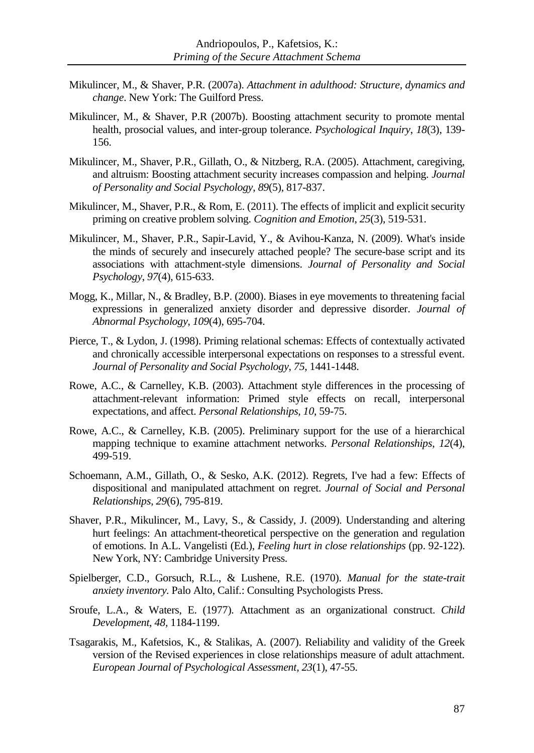- Mikulincer, M., & Shaver, P.R. (2007a). *Attachment in adulthood: Structure, dynamics and change*. New York: The Guilford Press.
- Mikulincer, M., & Shaver, P.R (2007b). Boosting attachment security to promote mental health, prosocial values, and inter-group tolerance. *Psychological Inquiry*, *18*(3), 139- 156.
- Mikulincer, M., Shaver, P.R., Gillath, O., & Nitzberg, R.A. (2005). Attachment, caregiving, and altruism: Boosting attachment security increases compassion and helping. *Journal of Personality and Social Psychology*, *89*(5), 817-837.
- Mikulincer, M., Shaver, P.R., & Rom, E. (2011). The effects of implicit and explicit security priming on creative problem solving. *Cognition and Emotion*, *25*(3), 519-531.
- Mikulincer, M., Shaver, P.R., Sapir-Lavid, Y., & Avihou-Kanza, N. (2009). What's inside the minds of securely and insecurely attached people? The secure-base script and its associations with attachment-style dimensions. *Journal of Personality and Social Psychology*, *97*(4), 615-633.
- Mogg, K., Millar, N., & Bradley, B.P. (2000). Biases in eye movements to threatening facial expressions in generalized anxiety disorder and depressive disorder. *Journal of Abnormal Psychology*, *109*(4), 695-704.
- Pierce, T., & Lydon, J. (1998). Priming relational schemas: Effects of contextually activated and chronically accessible interpersonal expectations on responses to a stressful event. *Journal of Personality and Social Psychology*, *75*, 1441-1448.
- Rowe, A.C., & Carnelley, K.B. (2003). Attachment style differences in the processing of attachment-relevant information: Primed style effects on recall, interpersonal expectations, and affect. *Personal Relationships, 10*, 59-75.
- Rowe, A.C., & Carnelley, K.B. (2005). Preliminary support for the use of a hierarchical mapping technique to examine attachment networks. *Personal Relationships*, *12*(4), 499-519.
- Schoemann, A.M., Gillath, O., & Sesko, A.K. (2012). Regrets, I've had a few: Effects of dispositional and manipulated attachment on regret. *Journal of Social and Personal Relationships*, *29*(6), 795-819.
- Shaver, P.R., Mikulincer, M., Lavy, S., & Cassidy, J. (2009). Understanding and altering hurt feelings: An attachment-theoretical perspective on the generation and regulation of emotions. In A.L. Vangelisti (Ed.), *Feeling hurt in close relationships* (pp. 92-122). New York, NY: Cambridge University Press.
- Spielberger, C.D., Gorsuch, R.L., & Lushene, R.E. (1970). *Manual for the state-trait anxiety inventory.* Palo Alto, Calif.: Consulting Psychologists Press.
- Sroufe, L.A., & Waters, E. (1977). Attachment as an organizational construct. *Child Development*, *48,* 1184-1199.
- Tsagarakis, M., Kafetsios, K., & Stalikas, A. (2007). Reliability and validity of the Greek version of the Revised experiences in close relationships measure of adult attachment. *European Journal of Psychological Assessment, 23*(1), 47-55.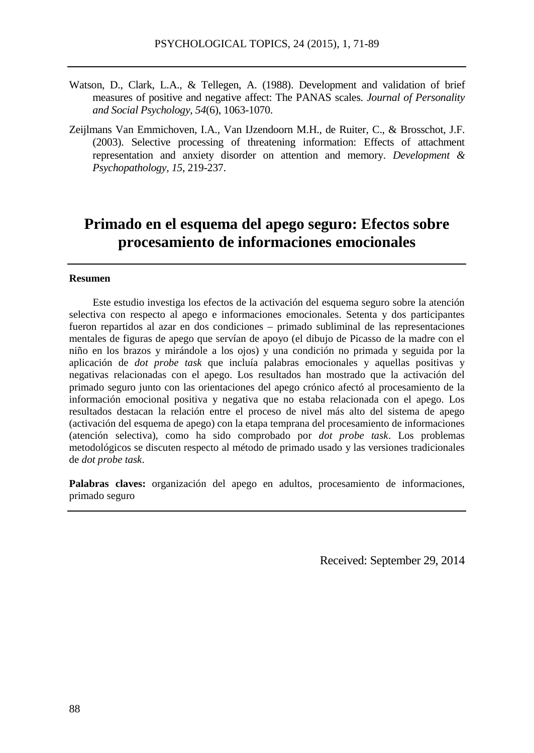- Watson, D., Clark, L.A., & Tellegen, A. (1988). Development and validation of brief measures of positive and negative affect: The PANAS scales. *Journal of Personality and Social Psychology*, *54*(6), 1063-1070.
- Zeijlmans Van Emmichoven, I.A., Van IJzendoorn M.H., de Ruiter, C., & Brosschot, J.F. (2003). Selective processing of threatening information: Effects of attachment representation and anxiety disorder on attention and memory. *Development & Psychopathology, 15*, 219-237.

# **Primado en el esquema del apego seguro: Efectos sobre procesamiento de informaciones emocionales**

#### **Resumen**

Este estudio investiga los efectos de la activación del esquema seguro sobre la atención selectiva con respecto al apego e informaciones emocionales. Setenta y dos participantes fueron repartidos al azar en dos condiciones – primado subliminal de las representaciones mentales de figuras de apego que servían de apoyo (el dibujo de Picasso de la madre con el niño en los brazos y mirándole a los ojos) y una condición no primada y seguida por la aplicación de *dot probe task* que incluía palabras emocionales y aquellas positivas y negativas relacionadas con el apego. Los resultados han mostrado que la activación del primado seguro junto con las orientaciones del apego crónico afectó al procesamiento de la información emocional positiva y negativa que no estaba relacionada con el apego. Los resultados destacan la relación entre el proceso de nivel más alto del sistema de apego (activación del esquema de apego) con la etapa temprana del procesamiento de informaciones (atención selectiva), como ha sido comprobado por *dot probe task*. Los problemas metodológicos se discuten respecto al método de primado usado y las versiones tradicionales de *dot probe task*.

**Palabras claves:** organización del apego en adultos, procesamiento de informaciones, primado seguro

Received: September 29, 2014